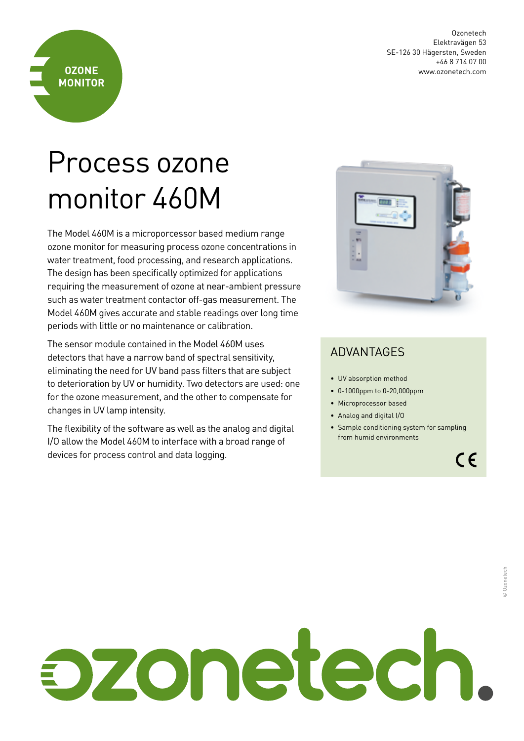Ozonetech Elektravägen 53 SE-126 30 Hägersten, Sweden +46 8 714 07 00 www.ozonetech.com

## Process ozone monitor 460M

**OZONE MONITOR**

The Model 460M is a microporcessor based medium range ozone monitor for measuring process ozone concentrations in water treatment, food processing, and research applications. The design has been specifically optimized for applications requiring the measurement of ozone at near-ambient pressure such as water treatment contactor off-gas measurement. The Model 460M gives accurate and stable readings over long time periods with little or no maintenance or calibration.

The sensor module contained in the Model 460M uses detectors that have a narrow band of spectral sensitivity, eliminating the need for UV band pass filters that are subject to deterioration by UV or humidity. Two detectors are used: one for the ozone measurement, and the other to compensate for changes in UV lamp intensity.

The flexibility of the software as well as the analog and digital I/O allow the Model 460M to interface with a broad range of devices for process control and data logging.



## ADVANTAGES

- UV absorption method
- 0-1000ppm to 0-20,000ppm
- Microprocessor based
- Analog and digital I/O
- Sample conditioning system for sampling from humid environments

 $C \in$ 

## pzonetech.